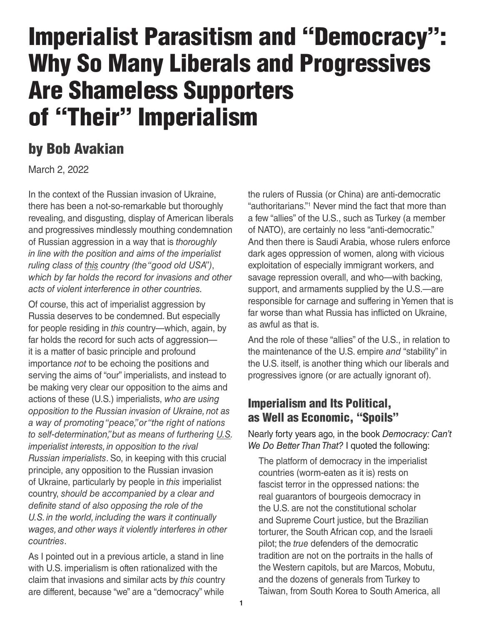# Imperialist Parasitism and "Democracy": Why So Many Liberals and Progressives Are Shameless Supporters of "Their" Imperialism

## by Bob Avakian

March 2, 2022

In the context of the Russian invasion of Ukraine, there has been a not-so-remarkable but thoroughly revealing, and disgusting, display of American liberals and progressives mindlessly mouthing condemnation of Russian aggression in a way that is *thoroughly in line with the position and aims of the imperialist ruling class of this country (the "good old USA")*, *which by far holds the record for invasions and other acts of violent interference in other countries.*

Of course, this act of imperialist aggression by Russia deserves to be condemned. But especially for people residing in *this* country—which, again, by far holds the record for such acts of aggression it is a matter of basic principle and profound importance *not* to be echoing the positions and serving the aims of "our" imperialists, and instead to be making very clear our opposition to the aims and actions of these (U.S.) imperialists, *who are using opposition to the Russian invasion of Ukraine, not as a way of promoting "peace," or "the right of nations to self-determination," but as means of furthering U.S. imperialist interests, in opposition to the rival Russian imperialists*. So, in keeping with this crucial principle, any opposition to the Russian invasion of Ukraine, particularly by people in *this* imperialist country, *should be accompanied by a clear and definite stand of also opposing the role of the U.S. in the world, including the wars it continually wages, and other ways it violently interferes in other countries*.

As I pointed out in a previous article, a stand in line with U.S. imperialism is often rationalized with the claim that invasions and similar acts by *this* country are different, because "we" are a "democracy" while

the rulers of Russia (or China) are anti-democratic "authoritarians."1 Never mind the fact that more than a few "allies" of the U.S., such as Turkey (a member of NATO), are certainly no less "anti-democratic." And then there is Saudi Arabia, whose rulers enforce dark ages oppression of women, along with vicious exploitation of especially immigrant workers, and savage repression overall, and who—with backing, support, and armaments supplied by the U.S.—are responsible for carnage and suffering in Yemen that is far worse than what Russia has inflicted on Ukraine, as awful as that is.

And the role of these "allies" of the U.S., in relation to the maintenance of the U.S. empire *and* "stability" in the U.S. itself, is another thing which our liberals and progressives ignore (or are actually ignorant of).

### Imperialism and Its Political, as Well as Economic, "Spoils"

Nearly forty years ago, in the book *Democracy: Can't We Do Better Than That?* I quoted the following:

The platform of democracy in the imperialist countries (worm-eaten as it is) rests on fascist terror in the oppressed nations: the real guarantors of bourgeois democracy in the U.S. are not the constitutional scholar and Supreme Court justice, but the Brazilian torturer, the South African cop, and the Israeli pilot; the *true* defenders of the democratic tradition are not on the portraits in the halls of the Western capitols, but are Marcos, Mobutu, and the dozens of generals from Turkey to Taiwan, from South Korea to South America, all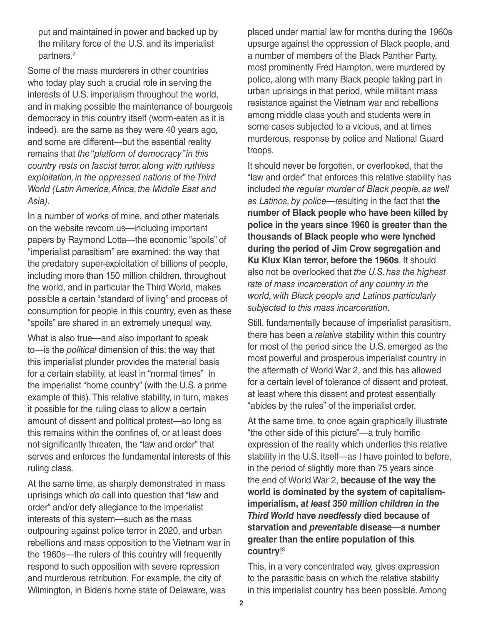put and maintained in power and backed up by the military force of the U.S. and its imperialist partners.<sup>2</sup>

Some of the mass murderers in other countries who today play such a crucial role in serving the interests of U.S. imperialism throughout the world, and in making possible the maintenance of bourgeois democracy in this country itself (worm-eaten as it is indeed), are the same as they were 40 years ago, and some are different—but the essential reality remains that *the "platform of democracy" in this country rests on fascist terror, along with ruthless exploitation, in the oppressed nations of the Third World (Latin America, Africa, the Middle East and Asia)*.

In a number of works of mine, and other materials on the website revcom.us—including important papers by Raymond Lotta—the economic "spoils" of "imperialist parasitism" are examined: the way that the predatory super-exploitation of billions of people, including more than 150 million children, throughout the world, and in particular the Third World, makes possible a certain "standard of living" and process of consumption for people in this country, even as these "spoils" are shared in an extremely unequal way.

What is also true—and also important to speak to—is the *political* dimension of this: the way that this imperialist plunder provides the material basis for a certain stability, at least in "normal times" in the imperialist "home country" (with the U.S. a prime example of this). This relative stability, in turn, makes it possible for the ruling class to allow a certain amount of dissent and political protest—so long as this remains within the confines of, or at least does not significantly threaten, the "law and order" that serves and enforces the fundamental interests of this ruling class.

At the same time, as sharply demonstrated in mass uprisings which *do* call into question that "law and order" and/or defy allegiance to the imperialist interests of this system—such as the mass outpouring against police terror in 2020, and urban rebellions and mass opposition to the Vietnam war in the 1960s—the rulers of this country will frequently respond to such opposition with severe repression and murderous retribution. For example, the city of Wilmington, in Biden's home state of Delaware, was

placed under martial law for months during the 1960s upsurge against the oppression of Black people, and a number of members of the Black Panther Party, most prominently Fred Hampton, were murdered by police, along with many Black people taking part in urban uprisings in that period, while militant mass resistance against the Vietnam war and rebellions among middle class youth and students were in some cases subjected to a vicious, and at times murderous, response by police and National Guard troops.

It should never be forgotten, or overlooked, that the "law and order" that enforces this relative stability has included *the regular murder of Black people, as well as Latinos, by police*—resulting in the fact that **the number of Black people who have been killed by police in the years since 1960 is greater than the thousands of Black people who were lynched during the period of Jim Crow segregation and Ku Klux Klan terror, before the 1960s**. It should also not be overlooked that *the U.S. has the highest rate of mass incarceration of any country in the world, with Black people and Latinos particularly subjected to this mass incarceration*.

Still, fundamentally because of imperialist parasitism, there has been a *relative* stability within this country for most of the period since the U.S. emerged as the most powerful and prosperous imperialist country in the aftermath of World War 2, and this has allowed for a certain level of tolerance of dissent and protest, at least where this dissent and protest essentially "abides by the rules" of the imperialist order.

At the same time, to once again graphically illustrate "the other side of this picture"—a truly horrific expression of the reality which underlies this relative stability in the U.S. itself—as I have pointed to before, in the period of slightly more than 75 years since the end of World War 2, **because of the way the world is dominated by the system of capitalismimperialism,** *at least 350 million children in the Third World* **have** *needlessly* **died because of starvation and** *preventable* **disease—a number greater than the entire population of this country**! 3

This, in a very concentrated way, gives expression to the parasitic basis on which the relative stability in this imperialist country has been possible. Among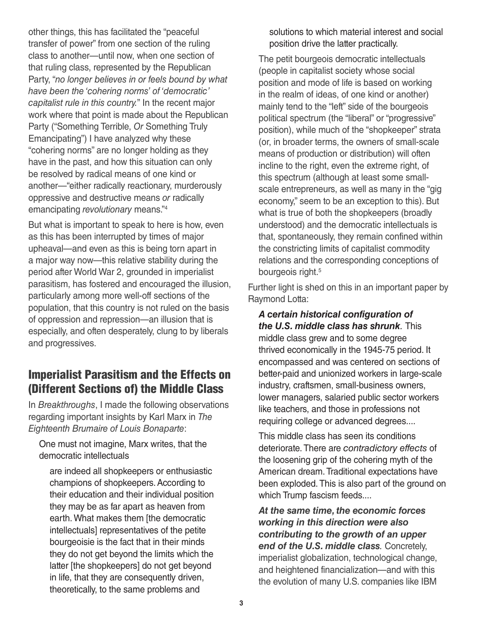other things, this has facilitated the "peaceful transfer of power" from one section of the ruling class to another—until now, when one section of that ruling class, represented by the Republican Party, "*no longer believes in or feels bound by what have been the 'cohering norms' of 'democratic' capitalist rule in this country.*" In the recent major work where that point is made about the Republican Party ("Something Terrible, *Or* Something Truly Emancipating") I have analyzed why these "cohering norms" are no longer holding as they have in the past, and how this situation can only be resolved by radical means of one kind or another—"either radically reactionary, murderously oppressive and destructive means *or* radically emancipating *revolutionary* means."4

But what is important to speak to here is how, even as this has been interrupted by times of major upheaval—and even as this is being torn apart in a major way now—this relative stability during the period after World War 2, grounded in imperialist parasitism, has fostered and encouraged the illusion, particularly among more well-off sections of the population, that this country is not ruled on the basis of oppression and repression—an illusion that is especially, and often desperately, clung to by liberals and progressives.

### Imperialist Parasitism and the Effects on (Different Sections of) the Middle Class

In *Breakthroughs*, I made the following observations regarding important insights by Karl Marx in *The Eighteenth Brumaire of Louis Bonaparte*:

One must not imagine, Marx writes, that the democratic intellectuals

are indeed all shopkeepers or enthusiastic champions of shopkeepers. According to their education and their individual position they may be as far apart as heaven from earth. What makes them [the democratic intellectuals] representatives of the petite bourgeoisie is the fact that in their minds they do not get beyond the limits which the latter [the shopkeepers] do not get beyond in life, that they are consequently driven, theoretically, to the same problems and

solutions to which material interest and social position drive the latter practically.

The petit bourgeois democratic intellectuals (people in capitalist society whose social position and mode of life is based on working in the realm of ideas, of one kind or another) mainly tend to the "left" side of the bourgeois political spectrum (the "liberal" or "progressive" position), while much of the "shopkeeper" strata (or, in broader terms, the owners of small-scale means of production or distribution) will often incline to the right, even the extreme right, of this spectrum (although at least some smallscale entrepreneurs, as well as many in the "gig economy," seem to be an exception to this). But what is true of both the shopkeepers (broadly understood) and the democratic intellectuals is that, spontaneously, they remain confined within the constricting limits of capitalist commodity relations and the corresponding conceptions of bourgeois right.<sup>5</sup>

Further light is shed on this in an important paper by Raymond Lotta:

*A certain historical configuration of the U.S. middle class has shrunk.* This middle class grew and to some degree thrived economically in the 1945-75 period. It encompassed and was centered on sections of better-paid and unionized workers in large-scale industry, craftsmen, small-business owners, lower managers, salaried public sector workers like teachers, and those in professions not requiring college or advanced degrees....

This middle class has seen its conditions deteriorate. There are *contradictory effects* of the loosening grip of the cohering myth of the American dream. Traditional expectations have been exploded. This is also part of the ground on which Trump fascism feeds....

*At the same time, the economic forces working in this direction were also contributing to the growth of an upper end of the U.S. middle class.* Concretely, imperialist globalization, technological change, and heightened financialization—and with this the evolution of many U.S. companies like IBM